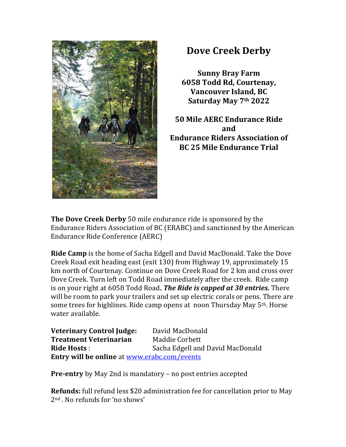

## **Dove Creek Derby**

**Sunny Bray Farm 6058 Todd Rd, Courtenay, Vancouver Island, BC Saturday May 7th 2022**

**50 Mile AERC Endurance Ride and Endurance Riders Association of BC 25 Mile Endurance Trial**

**The Dove Creek Derby** 50 mile endurance ride is sponsored by the Endurance Riders Association of BC (ERABC) and sanctioned by the American Endurance Ride Conference (AERC)

**Ride Camp** is the home of Sacha Edgell and David MacDonald. Take the Dove Creek Road exit heading east (exit 130) from Highway 19, approximately 15 km north of Courtenay. Continue on Dove Creek Road for 2 km and cross over Dove Creek. Turn left on Todd Road immediately after the creek. Ride camp is on your right at 6058 Todd Road**.** *The Ride is capped at 30 entries.* There will be room to park your trailers and set up electric corals or pens. There are some trees for highlines. Ride camp opens at noon Thursday May 5<sup>th</sup>. Horse water available.

**Veterinary Control Judge:** David MacDonald **Treatment Veterinarian** Maddie Corbett **Ride Hosts** : Sacha Edgell and David MacDonald **Entry will be online** at [www.erabc.com/events](http://www.erabc.com/events)

**Pre-entry** by May 2nd is mandatory – no post entries accepted

**Refunds:** full refund less \$20 administration fee for cancellation prior to May 2nd . No refunds for 'no shows'